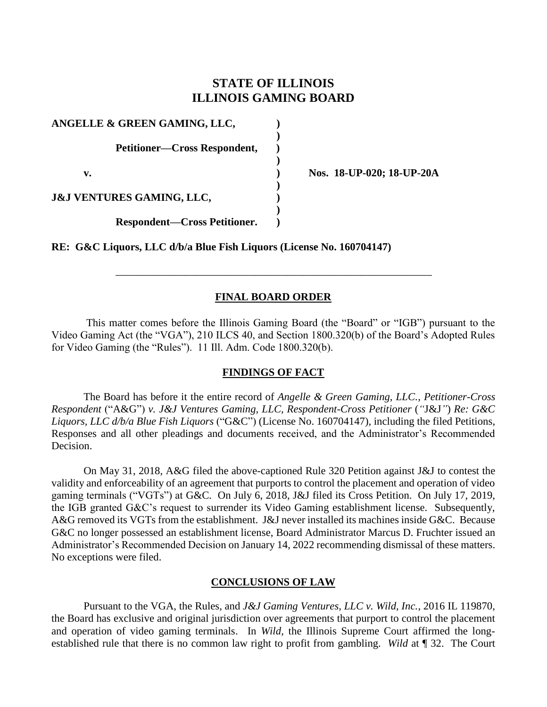# **STATE OF ILLINOIS ILLINOIS GAMING BOARD**

| ANGELLE & GREEN GAMING, LLC,         |  |
|--------------------------------------|--|
| <b>Petitioner—Cross Respondent,</b>  |  |
| v.                                   |  |
| <b>J&amp;J VENTURES GAMING, LLC,</b> |  |
| <b>Respondent—Cross Petitioner.</b>  |  |

**v. ) Nos. 18-UP-020; 18-UP-20A**

**RE: G&C Liquors, LLC d/b/a Blue Fish Liquors (License No. 160704147)**

### **FINAL BOARD ORDER**

\_\_\_\_\_\_\_\_\_\_\_\_\_\_\_\_\_\_\_\_\_\_\_\_\_\_\_\_\_\_\_\_\_\_\_\_\_\_\_\_\_\_\_\_\_\_\_\_\_\_\_\_\_\_\_\_\_\_\_

This matter comes before the Illinois Gaming Board (the "Board" or "IGB") pursuant to the Video Gaming Act (the "VGA"), 210 ILCS 40, and Section 1800.320(b) of the Board's Adopted Rules for Video Gaming (the "Rules"). 11 Ill. Adm. Code 1800.320(b).

### **FINDINGS OF FACT**

The Board has before it the entire record of *Angelle & Green Gaming, LLC., Petitioner-Cross Respondent* ("A&G") *v. J&J Ventures Gaming, LLC, Respondent-Cross Petitioner* (*"*J&J*"*) *Re: G&C Liquors, LLC d/b/a Blue Fish Liquors* ("G&C") (License No. 160704147)*,* including the filed Petitions, Responses and all other pleadings and documents received, and the Administrator's Recommended Decision.

On May 31, 2018, A&G filed the above-captioned Rule 320 Petition against J&J to contest the validity and enforceability of an agreement that purports to control the placement and operation of video gaming terminals ("VGTs") at G&C. On July 6, 2018, J&J filed its Cross Petition. On July 17, 2019, the IGB granted G&C's request to surrender its Video Gaming establishment license. Subsequently, A&G removed its VGTs from the establishment. J&J never installed its machines inside G&C. Because G&C no longer possessed an establishment license, Board Administrator Marcus D. Fruchter issued an Administrator's Recommended Decision on January 14, 2022 recommending dismissal of these matters. No exceptions were filed.

#### **CONCLUSIONS OF LAW**

Pursuant to the VGA, the Rules, and *J&J Gaming Ventures, LLC v. Wild, Inc.*, 2016 IL 119870, the Board has exclusive and original jurisdiction over agreements that purport to control the placement and operation of video gaming terminals. In *Wild*, the Illinois Supreme Court affirmed the longestablished rule that there is no common law right to profit from gambling. *Wild* at ¶ 32. The Court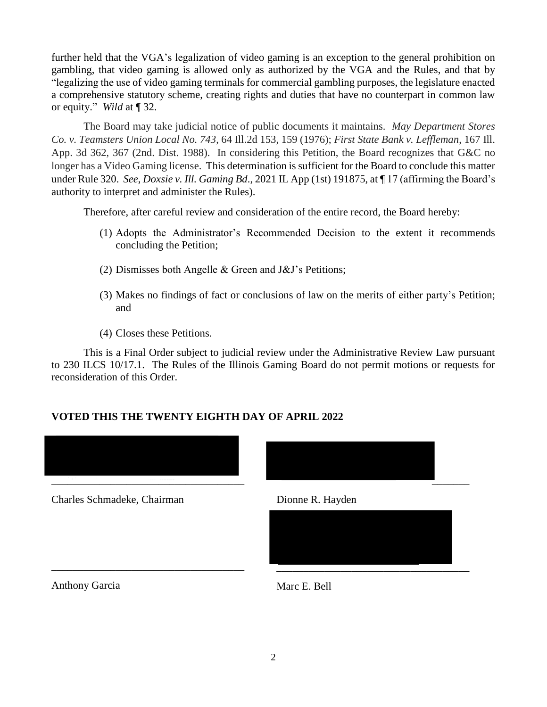further held that the VGA's legalization of video gaming is an exception to the general prohibition on gambling, that video gaming is allowed only as authorized by the VGA and the Rules, and that by "legalizing the use of video gaming terminals for commercial gambling purposes, the legislature enacted a comprehensive statutory scheme, creating rights and duties that have no counterpart in common law or equity." *Wild* at ¶ 32.

The Board may take judicial notice of public documents it maintains. *May Department Stores Co. v. Teamsters Union Local No. 743*, 64 Ill.2d 153, 159 (1976); *First State Bank v. Leffleman*, 167 Ill. App. 3d 362, 367 (2nd. Dist. 1988). In considering this Petition, the Board recognizes that G&C no longer has a Video Gaming license. This determination is sufficient for the Board to conclude this matter under Rule 320. *See*, *Doxsie v. Ill. Gaming Bd*., 2021 IL App (1st) 191875, at ¶ 17 (affirming the Board's authority to interpret and administer the Rules).

Therefore, after careful review and consideration of the entire record, the Board hereby:

- (1) Adopts the Administrator's Recommended Decision to the extent it recommends concluding the Petition;
- (2) Dismisses both Angelle & Green and J&J's Petitions;
- (3) Makes no findings of fact or conclusions of law on the merits of either party's Petition; and
- (4) Closes these Petitions.

This is a Final Order subject to judicial review under the Administrative Review Law pursuant to 230 ILCS 10/17.1. The Rules of the Illinois Gaming Board do not permit motions or requests for reconsideration of this Order.

## **VOTED THIS THE TWENTY EIGHTH DAY OF APRIL 2022**





Anthony Garcia Marc E. Bell

\_\_\_\_\_\_\_\_\_\_\_\_\_\_\_\_\_\_\_\_\_\_\_\_\_\_\_\_\_\_\_\_\_\_\_\_ \_\_\_\_\_\_\_\_\_\_\_\_\_\_\_\_\_\_\_\_\_\_\_\_\_\_\_\_\_\_\_\_\_\_\_\_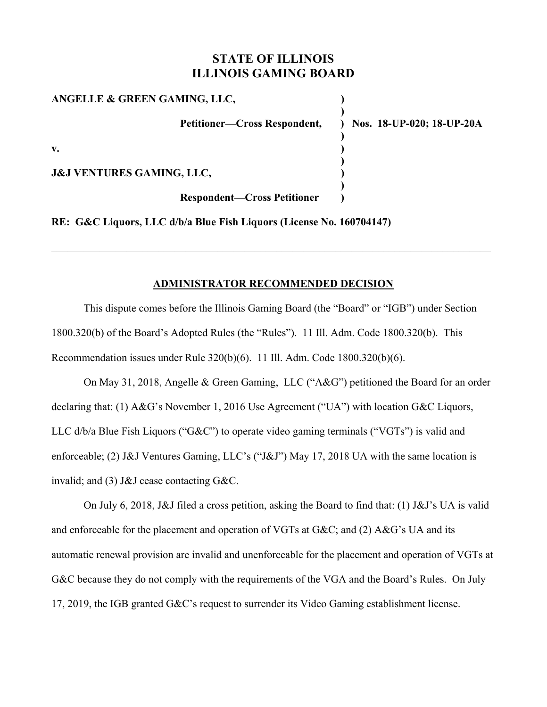# **STATE OF ILLINOIS ILLINOIS GAMING BOARD**

| ANGELLE & GREEN GAMING, LLC,         |                             |
|--------------------------------------|-----------------------------|
| Petitioner—Cross Respondent,         | ) Nos. 18-UP-020; 18-UP-20A |
| v.                                   |                             |
| <b>J&amp;J VENTURES GAMING, LLC,</b> |                             |
| <b>Respondent-Cross Petitioner</b>   |                             |

**RE: G&C Liquors, LLC d/b/a Blue Fish Liquors (License No. 160704147)**

### **ADMINISTRATOR RECOMMENDED DECISION**

This dispute comes before the Illinois Gaming Board (the "Board" or "IGB") under Section 1800.320(b) of the Board's Adopted Rules (the "Rules"). 11 Ill. Adm. Code 1800.320(b). This Recommendation issues under Rule 320(b)(6). 11 Ill. Adm. Code 1800.320(b)(6).

On May 31, 2018, Angelle & Green Gaming, LLC ("A&G") petitioned the Board for an order declaring that: (1) A&G's November 1, 2016 Use Agreement ("UA") with location G&C Liquors, LLC d/b/a Blue Fish Liquors ("G&C") to operate video gaming terminals ("VGTs") is valid and enforceable; (2) J&J Ventures Gaming, LLC's ("J&J") May 17, 2018 UA with the same location is invalid; and (3) J&J cease contacting G&C.

On July 6, 2018, J&J filed a cross petition, asking the Board to find that: (1) J&J's UA is valid and enforceable for the placement and operation of VGTs at G&C; and (2) A&G's UA and its automatic renewal provision are invalid and unenforceable for the placement and operation of VGTs at G&C because they do not comply with the requirements of the VGA and the Board's Rules. On July 17, 2019, the IGB granted G&C's request to surrender its Video Gaming establishment license.